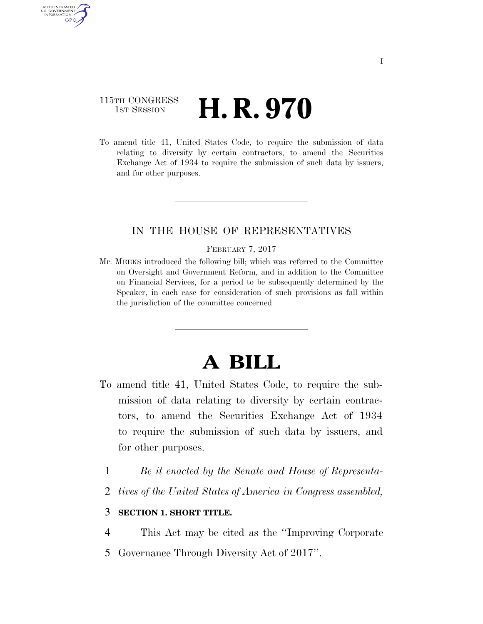### 115TH CONGRESS **1st Session H. R. 970**

AUTHENTICATED U.S. GOVERNMENT **GPO** 

> To amend title 41, United States Code, to require the submission of data relating to diversity by certain contractors, to amend the Securities Exchange Act of 1934 to require the submission of such data by issuers, and for other purposes.

### IN THE HOUSE OF REPRESENTATIVES

#### FEBRUARY 7, 2017

Mr. MEEKS introduced the following bill; which was referred to the Committee on Oversight and Government Reform, and in addition to the Committee on Financial Services, for a period to be subsequently determined by the Speaker, in each case for consideration of such provisions as fall within the jurisdiction of the committee concerned

# **A BILL**

- To amend title 41, United States Code, to require the submission of data relating to diversity by certain contractors, to amend the Securities Exchange Act of 1934 to require the submission of such data by issuers, and for other purposes.
	- 1 *Be it enacted by the Senate and House of Representa-*
	- 2 *tives of the United States of America in Congress assembled,*

### 3 **SECTION 1. SHORT TITLE.**

4 This Act may be cited as the ''Improving Corporate 5 Governance Through Diversity Act of 2017''.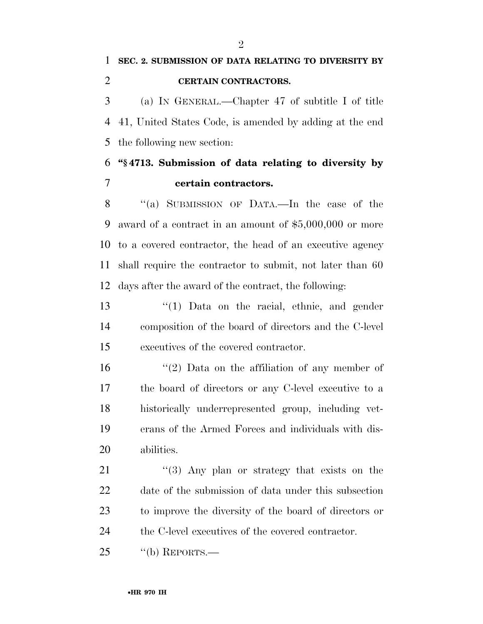(a) IN GENERAL.—Chapter 47 of subtitle I of title 41, United States Code, is amended by adding at the end the following new section:

## **''§ 4713. Submission of data relating to diversity by certain contractors.**

8 "(a) SUBMISSION OF DATA.—In the case of the award of a contract in an amount of \$5,000,000 or more to a covered contractor, the head of an executive agency shall require the contractor to submit, not later than 60 days after the award of the contract, the following:

 ''(1) Data on the racial, ethnic, and gender composition of the board of directors and the C-level executives of the covered contractor.

 $\frac{1}{2}$  Data on the affiliation of any member of the board of directors or any C-level executive to a historically underrepresented group, including vet- erans of the Armed Forces and individuals with dis-abilities.

21 "(3) Any plan or strategy that exists on the date of the submission of data under this subsection to improve the diversity of the board of directors or the C-level executives of the covered contractor.

25 "(b) REPORTS.—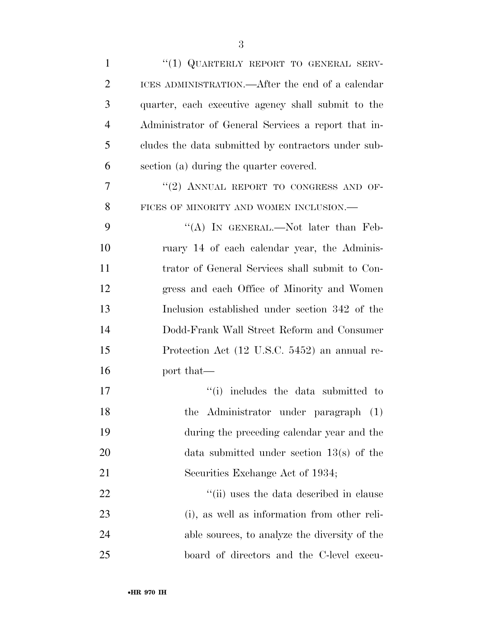| $\mathbf{1}$   | "(1) QUARTERLY REPORT TO GENERAL SERV-              |
|----------------|-----------------------------------------------------|
| $\overline{2}$ | ICES ADMINISTRATION.—After the end of a calendar    |
| 3              | quarter, each executive agency shall submit to the  |
| $\overline{4}$ | Administrator of General Services a report that in- |
| 5              | cludes the data submitted by contractors under sub- |
| 6              | section (a) during the quarter covered.             |
| 7              | "(2) ANNUAL REPORT TO CONGRESS AND OF-              |
| 8              | FICES OF MINORITY AND WOMEN INCLUSION.-             |
| 9              | "(A) IN GENERAL.—Not later than Feb-                |
| 10             | ruary 14 of each calendar year, the Adminis-        |
| 11             | trator of General Services shall submit to Con-     |
| 12             | gress and each Office of Minority and Women         |
| 13             | Inclusion established under section 342 of the      |
| 14             | Dodd-Frank Wall Street Reform and Consumer          |
| 15             | Protection Act (12 U.S.C. 5452) an annual re-       |
| 16             | port that—                                          |
| 17             | "(i) includes the data submitted to                 |
| 18             | the Administrator under paragraph (1)               |
| 19             | during the preceding calendar year and the          |
| <b>20</b>      | data submitted under section $13(s)$ of the         |
| 21             | Securities Exchange Act of 1934;                    |
| 22             | "(ii) uses the data described in clause             |
| 23             | (i), as well as information from other reli-        |
| 24             | able sources, to analyze the diversity of the       |
| 25             | board of directors and the C-level execu-           |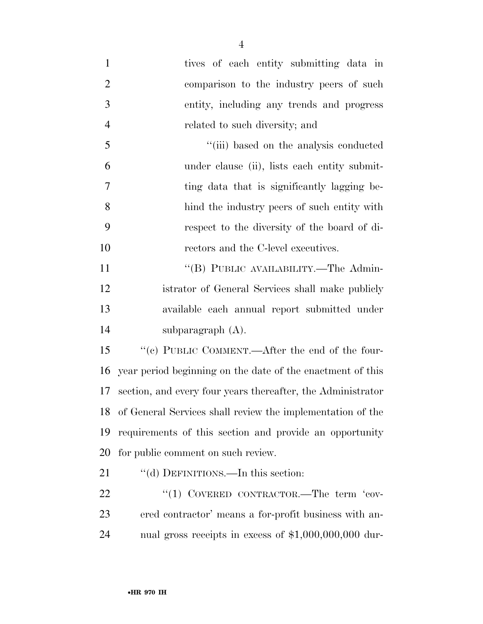tives of each entity submitting data in comparison to the industry peers of such entity, including any trends and progress related to such diversity; and ''(iii) based on the analysis conducted under clause (ii), lists each entity submit-7 ting data that is significantly lagging be- hind the industry peers of such entity with respect to the diversity of the board of di- rectors and the C-level executives. 11 "(B) PUBLIC AVAILABILITY.—The Admin- istrator of General Services shall make publicly available each annual report submitted under subparagraph (A). ''(c) PUBLIC COMMENT.—After the end of the four- year period beginning on the date of the enactment of this section, and every four years thereafter, the Administrator of General Services shall review the implementation of the requirements of this section and provide an opportunity for public comment on such review. 21 ""(d) DEFINITIONS.—In this section:

22 "(1) COVERED CONTRACTOR.—The term 'cov- ered contractor' means a for-profit business with an-nual gross receipts in excess of \$1,000,000,000 dur-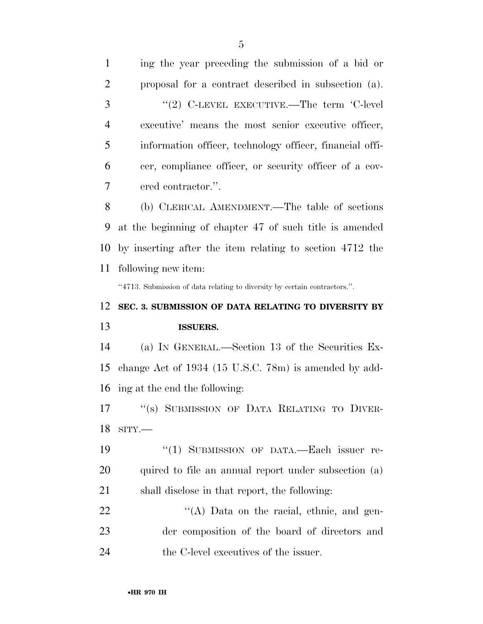| $\mathbf{1}$   | ing the year preceding the submission of a bid or                         |
|----------------|---------------------------------------------------------------------------|
| $\overline{2}$ | proposal for a contract described in subsection (a).                      |
| 3              | "(2) C-LEVEL EXECUTIVE.—The term 'C-level                                 |
| $\overline{4}$ | executive' means the most senior executive officer,                       |
| 5              | information officer, technology officer, financial offi-                  |
| 6              | cer, compliance officer, or security officer of a cov-                    |
| 7              | ered contractor.".                                                        |
| 8              | (b) CLERICAL AMENDMENT.—The table of sections                             |
| 9              | at the beginning of chapter 47 of such title is amended                   |
| 10             | by inserting after the item relating to section 4712 the                  |
| 11             | following new item:                                                       |
|                | "4713. Submission of data relating to diversity by certain contractors.". |
|                |                                                                           |
| 12             | SEC. 3. SUBMISSION OF DATA RELATING TO DIVERSITY BY                       |
| 13             | <b>ISSUERS.</b>                                                           |
|                | (a) IN GENERAL.—Section 13 of the Securities Ex-                          |
| 14<br>15       | change Act of 1934 (15 U.S.C. 78m) is amended by add-                     |
| 16             | ing at the end the following:                                             |
|                | 17 "(s) SUBMISSION OF DATA RELATING TO DIVER-                             |
| 18             | $SITY$ .                                                                  |
| 19             | "(1) SUBMISSION OF DATA.—Each issuer re-                                  |
| <b>20</b>      | quired to file an annual report under subsection (a)                      |
| 21             | shall disclose in that report, the following:                             |
| 22             | $\lq\lq$ . Data on the racial, ethnic, and gen-                           |
| 23             | der composition of the board of directors and                             |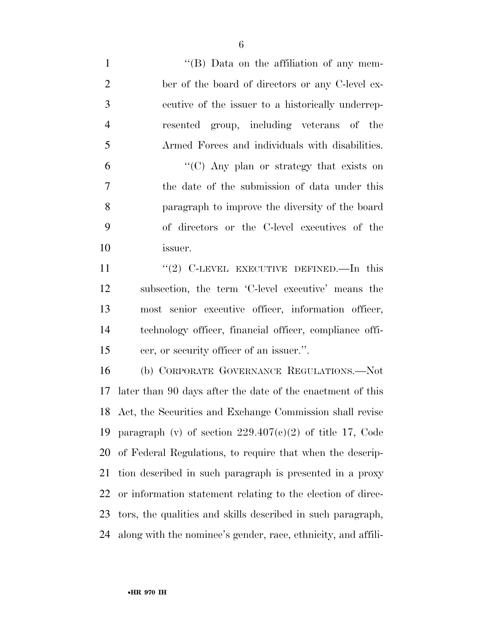1 ''(B) Data on the affiliation of any mem- ber of the board of directors or any C-level ex- ecutive of the issuer to a historically underrep- resented group, including veterans of the Armed Forces and individuals with disabilities.  $^{\circ}$  (C) Any plan or strategy that exists on the date of the submission of data under this paragraph to improve the diversity of the board of directors or the C-level executives of the issuer. 11 "(2) C-LEVEL EXECUTIVE DEFINED.—In this subsection, the term 'C-level executive' means the most senior executive officer, information officer, technology officer, financial officer, compliance offi- cer, or security officer of an issuer.''. (b) CORPORATE GOVERNANCE REGULATIONS.—Not later than 90 days after the date of the enactment of this Act, the Securities and Exchange Commission shall revise 19 paragraph (v) of section  $229.407(c)(2)$  of title 17, Code of Federal Regulations, to require that when the descrip- tion described in such paragraph is presented in a proxy or information statement relating to the election of direc- tors, the qualities and skills described in such paragraph, along with the nominee's gender, race, ethnicity, and affili-